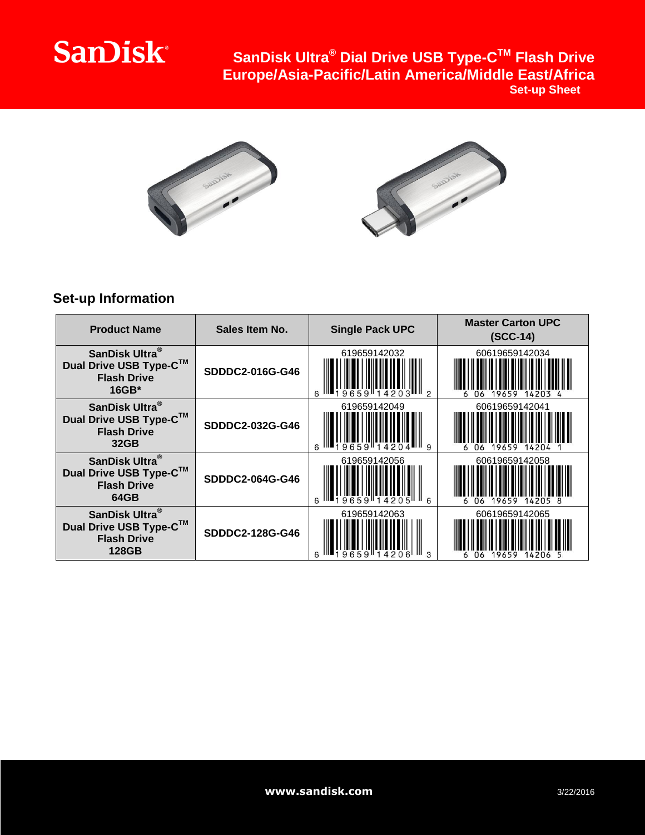## **SanDisk®**

**SanDisk Ultra® Dial Drive USB Type-C TM Flash Drive Europe/Asia-Pacific/Latin America/Middle East/Africa Set-up Sheet**





## **Set-up Information**

| <b>Product Name</b>                                                                        | Sales Item No.  | <b>Single Pack UPC</b> | <b>Master Carton UPC</b><br>$(SCC-14)$ |
|--------------------------------------------------------------------------------------------|-----------------|------------------------|----------------------------------------|
| SanDisk Ultra <sup>®</sup><br>Dual Drive USB Type-C™<br><b>Flash Drive</b><br>$16GB*$      | SDDDC2-016G-G46 | 619659142032           | 60619659142034<br>19659<br>06<br>14203 |
| SanDisk Ultra <sup>®</sup><br>Dual Drive USB Type-C™<br><b>Flash Drive</b><br>32GB         | SDDDC2-032G-G46 | 619659142049<br>III q  | 60619659142041<br>06<br>19659<br>14204 |
| SanDisk Ultra <sup>®</sup><br>Dual Drive USB Type-C™<br><b>Flash Drive</b><br>64GB         | SDDDC2-064G-G46 | 619659142056           | 60619659142058<br>19659                |
| SanDisk Ultra <sup>®</sup><br>Dual Drive USB Type-C™<br><b>Flash Drive</b><br><b>128GB</b> | SDDDC2-128G-G46 | 619659142063           | 60619659142065<br>19659<br>06<br>14206 |